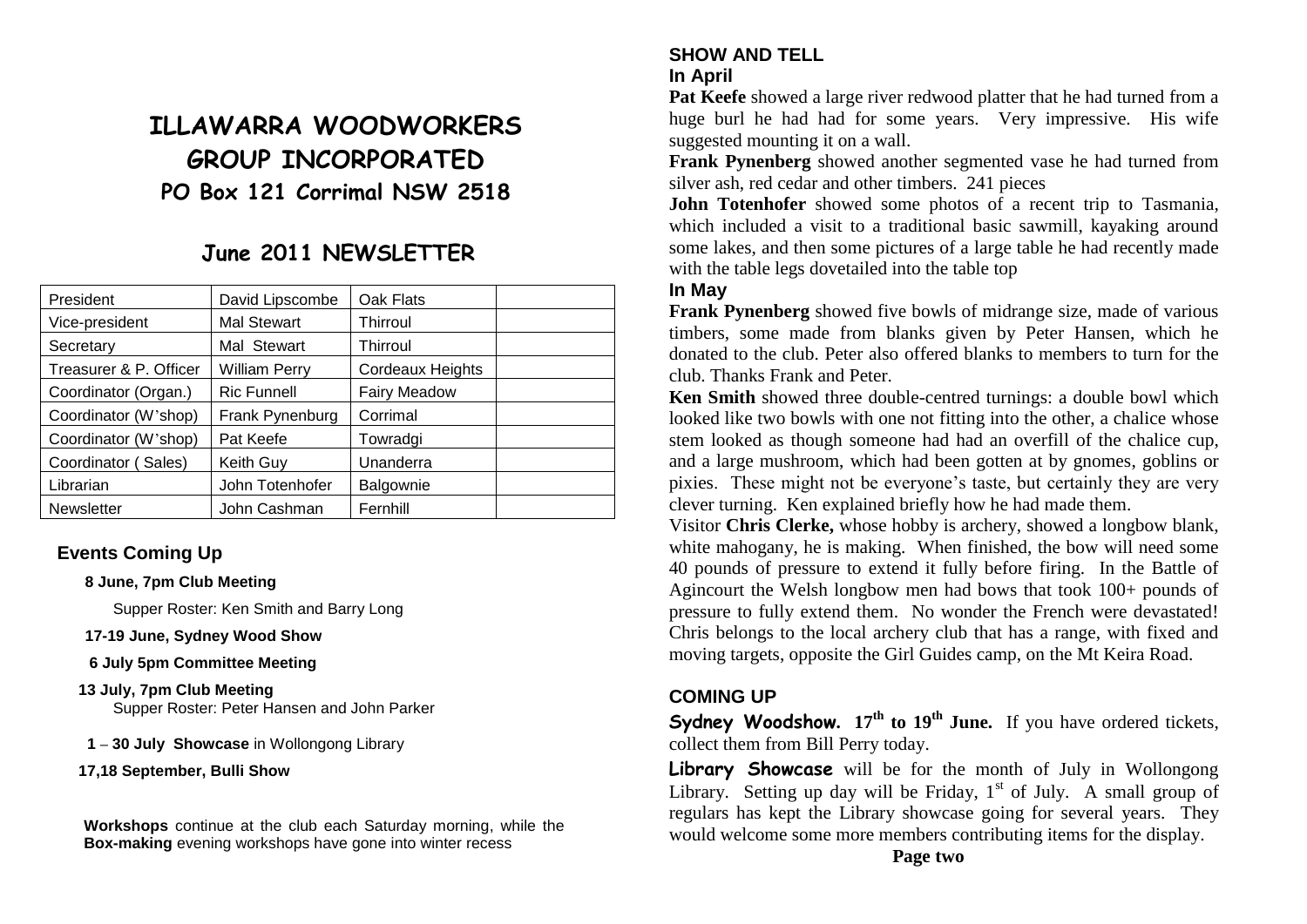# **ILLAWARRA WOODWORKERS GROUP INCORPORATED PO Box 121 Corrimal NSW 2518**

## **June 2011 NEWSLETTER**

| President              | David Lipscombe      | Oak Flats           |  |
|------------------------|----------------------|---------------------|--|
| Vice-president         | <b>Mal Stewart</b>   | <b>Thirroul</b>     |  |
| Secretary              | Mal Stewart          | Thirroul            |  |
| Treasurer & P. Officer | <b>William Perry</b> | Cordeaux Heights    |  |
| Coordinator (Organ.)   | <b>Ric Funnell</b>   | <b>Fairy Meadow</b> |  |
| Coordinator (W'shop)   | Frank Pynenburg      | Corrimal            |  |
| Coordinator (W'shop)   | Pat Keefe            | Towradgi            |  |
| Coordinator (Sales)    | Keith Guy            | Unanderra           |  |
| Librarian              | John Totenhofer      | Balgownie           |  |
| <b>Newsletter</b>      | John Cashman         | Fernhill            |  |

#### **Events Coming Up**

#### **8 June, 7pm Club Meeting**

Supper Roster: Ken Smith and Barry Long

**17-19 June, Sydney Wood Show**

#### **6 July 5pm Committee Meeting**

- **13 July, 7pm Club Meeting** Supper Roster: Peter Hansen and John Parker
- **1 – 30 July Showcase** in Wollongong Library
- **17,18 September, Bulli Show**

**Workshops** continue at the club each Saturday morning, while the **Box-making** evening workshops have gone into winter recess

## **SHOW AND TELL**

#### **In April**

**Pat Keefe** showed a large river redwood platter that he had turned from a huge burl he had had for some years. Very impressive. His wife suggested mounting it on a wall.

**Frank Pynenberg** showed another segmented vase he had turned from silver ash, red cedar and other timbers. 241 pieces

**John Totenhofer** showed some photos of a recent trip to Tasmania, which included a visit to a traditional basic sawmill, kayaking around some lakes, and then some pictures of a large table he had recently made with the table legs dovetailed into the table top

#### **In May**

**Frank Pynenberg** showed five bowls of midrange size, made of various timbers, some made from blanks given by Peter Hansen, which he donated to the club. Peter also offered blanks to members to turn for the club. Thanks Frank and Peter.

**Ken Smith** showed three double-centred turnings: a double bowl which looked like two bowls with one not fitting into the other, a chalice whose stem looked as though someone had had an overfill of the chalice cup, and a large mushroom, which had been gotten at by gnomes, goblins or pixies. These might not be everyone's taste, but certainly they are very clever turning. Ken explained briefly how he had made them.

Visitor **Chris Clerke,** whose hobby is archery, showed a longbow blank, white mahogany, he is making. When finished, the bow will need some 40 pounds of pressure to extend it fully before firing. In the Battle of Agincourt the Welsh longbow men had bows that took 100+ pounds of pressure to fully extend them. No wonder the French were devastated! Chris belongs to the local archery club that has a range, with fixed and moving targets, opposite the Girl Guides camp, on the Mt Keira Road.

#### **COMING UP**

**Sydney Woodshow.** 17<sup>th</sup> to 19<sup>th</sup> June. If you have ordered tickets, collect them from Bill Perry today.

**Library Showcase** will be for the month of July in Wollongong Library. Setting up day will be Friday,  $1<sup>st</sup>$  of July. A small group of regulars has kept the Library showcase going for several years. They would welcome some more members contributing items for the display.